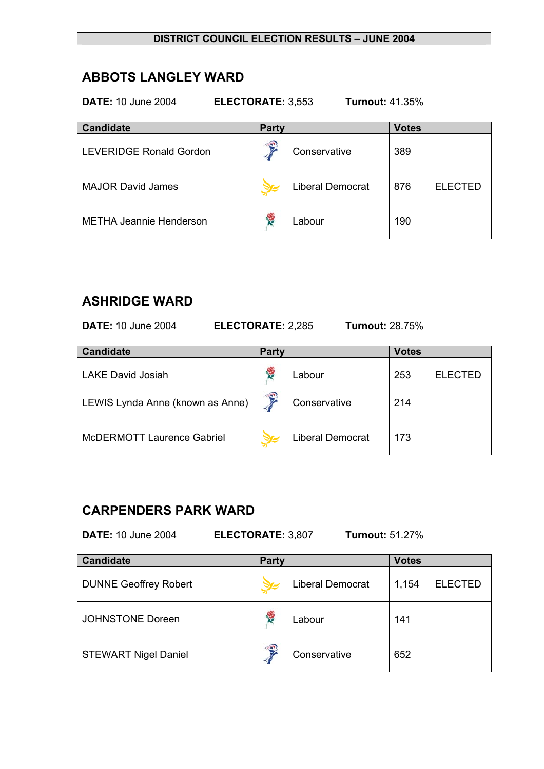## **ABBOTS LANGLEY WARD**

**DATE:** 10 June 2004 **ELECTORATE:** 3,553 **Turnout:** 41.35%

| <b>Candidate</b>               | <b>Party</b> |                         | <b>Votes</b> |                |
|--------------------------------|--------------|-------------------------|--------------|----------------|
| <b>LEVERIDGE Ronald Gordon</b> | €            | Conservative            | 389          |                |
| <b>MAJOR David James</b>       |              | <b>Liberal Democrat</b> | 876          | <b>ELECTED</b> |
| <b>METHA Jeannie Henderson</b> |              | Labour                  | 190          |                |

## **ASHRIDGE WARD**

**DATE:** 10 June 2004 **ELECTORATE:** 2,285 **Turnout:** 28.75%

| <b>Candidate</b>                  | <b>Party</b>           |                  | <b>Votes</b> |                |
|-----------------------------------|------------------------|------------------|--------------|----------------|
| <b>LAKE David Josiah</b>          |                        | Labour           | 253          | <b>ELECTED</b> |
| LEWIS Lynda Anne (known as Anne)  | $\widehat{\mathbf{S}}$ | Conservative     | 214          |                |
| <b>McDERMOTT Laurence Gabriel</b> |                        | Liberal Democrat | 173          |                |

# **CARPENDERS PARK WARD**

**DATE:** 10 June 2004 **ELECTORATE:** 3,807 **Turnout:** 51.27%

| <b>Candidate</b>             | <b>Party</b>            | <b>Votes</b>            |
|------------------------------|-------------------------|-------------------------|
| <b>DUNNE Geoffrey Robert</b> | <b>Liberal Democrat</b> | <b>ELECTED</b><br>1,154 |
| <b>JOHNSTONE Doreen</b>      | <b>RE</b><br>Labour     | 141                     |
| <b>STEWART Nigel Daniel</b>  | 号<br>Conservative       | 652                     |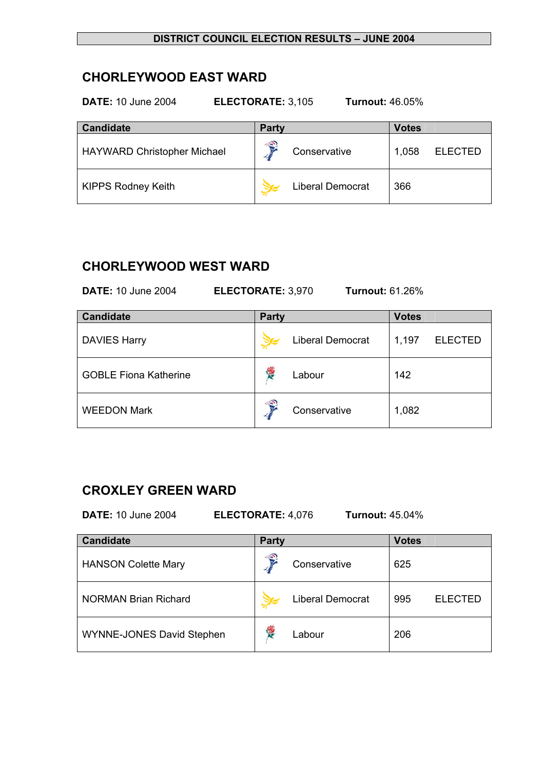# **CHORLEYWOOD EAST WARD**

| <b>DATE: 10 June 2004</b><br><b>Turnout: 46.05%</b><br>ELECTORATE: 3,105 |                         |                         |  |  |  |
|--------------------------------------------------------------------------|-------------------------|-------------------------|--|--|--|
| <b>Candidate</b>                                                         | <b>Party</b>            | <b>Votes</b>            |  |  |  |
| <b>HAYWARD Christopher Michael</b>                                       | 3<br>Conservative       | <b>ELECTED</b><br>1,058 |  |  |  |
| <b>KIPPS Rodney Keith</b>                                                | <b>Liberal Democrat</b> | 366                     |  |  |  |

### **CHORLEYWOOD WEST WARD**

**DATE:** 10 June 2004 **ELECTORATE:** 3,970 **Turnout:** 61.26% **Candidate Party Votes Votes** 

| Cangluate                    | <b>Party</b>            | <b>votes</b>            |
|------------------------------|-------------------------|-------------------------|
| <b>DAVIES Harry</b>          | <b>Liberal Democrat</b> | 1,197<br><b>ELECTED</b> |
| <b>GOBLE Fiona Katherine</b> | <b>R</b><br>Labour      | 142                     |
| <b>WEEDON Mark</b>           | €<br>Conservative       | 1,082                   |

## **CROXLEY GREEN WARD**

**DATE:** 10 June 2004 **ELECTORATE:** 4,076 **Turnout:** 45.04%

| <b>Candidate</b>                 | <b>Party</b>           |                         | <b>Votes</b> |                |
|----------------------------------|------------------------|-------------------------|--------------|----------------|
| <b>HANSON Colette Mary</b>       | $\widehat{\mathbf{s}}$ | Conservative            | 625          |                |
| <b>NORMAN Brian Richard</b>      |                        | <b>Liberal Democrat</b> | 995          | <b>ELECTED</b> |
| <b>WYNNE-JONES David Stephen</b> | <b>SP</b>              | Labour                  | 206          |                |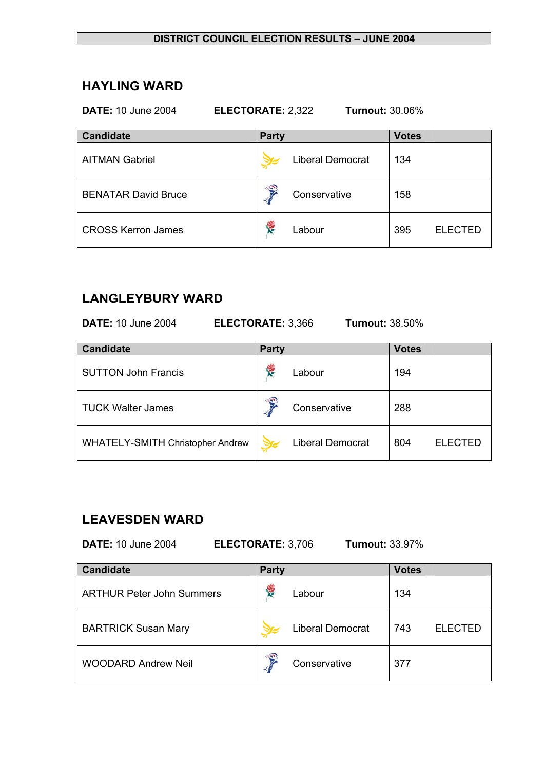### **HAYLING WARD**

### **DATE:** 10 June 2004 **ELECTORATE:** 2,322 **Turnout:** 30.06%

| <b>Candidate</b>           | <b>Party</b>            | <b>Votes</b>          |
|----------------------------|-------------------------|-----------------------|
| <b>AITMAN Gabriel</b>      | <b>Liberal Democrat</b> | 134                   |
| <b>BENATAR David Bruce</b> | €<br>Conservative       | 158                   |
| <b>CROSS Kerron James</b>  | Y.<br>Labour            | 395<br><b>ELECTED</b> |

# **LANGLEYBURY WARD**

**DATE:** 10 June 2004 **ELECTORATE:** 3,366 **Turnout:** 38.50%

| <b>Candidate</b>                 | <b>Party</b> |                         | <b>Votes</b> |                |
|----------------------------------|--------------|-------------------------|--------------|----------------|
| <b>SUTTON John Francis</b>       | ł.           | Labour                  | 194          |                |
| <b>TUCK Walter James</b>         | €            | Conservative            | 288          |                |
| WHATELY-SMITH Christopher Andrew |              | <b>Liberal Democrat</b> | 804          | <b>ELECTED</b> |

## **LEAVESDEN WARD**

**DATE:** 10 June 2004 **ELECTORATE:** 3,706 **Turnout:** 33.97%

| <b>Candidate</b>                 | <b>Party</b> |                         | <b>Votes</b> |                |
|----------------------------------|--------------|-------------------------|--------------|----------------|
| <b>ARTHUR Peter John Summers</b> | <b>R</b>     | Labour                  | 134          |                |
| <b>BARTRICK Susan Mary</b>       |              | <b>Liberal Democrat</b> | 743          | <b>ELECTED</b> |
| <b>WOODARD Andrew Neil</b>       | €            | Conservative            | 377          |                |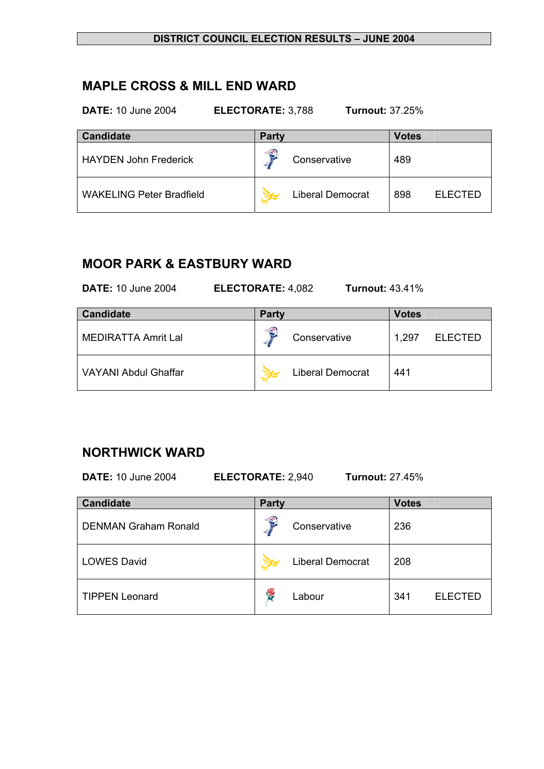## **MAPLE CROSS & MILL END WARD**

**DATE:** 10 June 2004 **ELECTORATE:** 3,788 **Turnout:** 37.25%

| <b>Candidate</b>                | <b>Party</b> |                  | <b>Votes</b> |                |
|---------------------------------|--------------|------------------|--------------|----------------|
| <b>HAYDEN John Frederick</b>    | €            | Conservative     | 489          |                |
| <b>WAKELING Peter Bradfield</b> |              | Liberal Democrat | 898          | <b>ELECTED</b> |

# **MOOR PARK & EASTBURY WARD**

**DATE:** 10 June 2004 **ELECTORATE:** 4,082 **Turnout:** 43.41%

| <b>Candidate</b>            | <b>Party</b>            | <b>Votes</b>            |
|-----------------------------|-------------------------|-------------------------|
| <b>MEDIRATTA Amrit Lal</b>  | ∕€<br>Conservative      | <b>ELECTED</b><br>1.297 |
| <b>VAYANI Abdul Ghaffar</b> | <b>Liberal Democrat</b> | 441                     |

## **NORTHWICK WARD**

**DATE:** 10 June 2004 **ELECTORATE:** 2,940 **Turnout:** 27.45%

| <b>Candidate</b>            | <b>Party</b> |                         | <b>Votes</b> |                |
|-----------------------------|--------------|-------------------------|--------------|----------------|
| <b>DENMAN Graham Ronald</b> | €            | Conservative            | 236          |                |
| <b>LOWES David</b>          |              | <b>Liberal Democrat</b> | 208          |                |
| <b>TIPPEN Leonard</b>       | ۳            | Labour                  | 341          | <b>ELECTED</b> |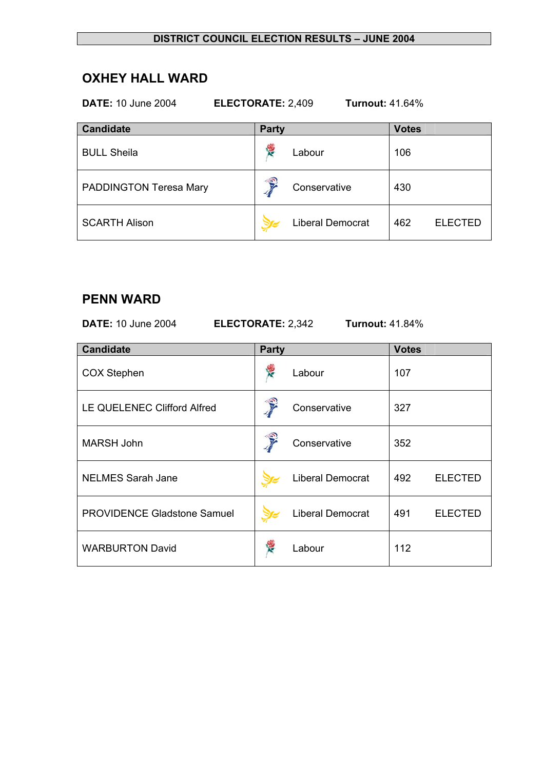# **OXHEY HALL WARD**

### **DATE:** 10 June 2004 **ELECTORATE:** 2,409 **Turnout:** 41.64%

| <b>Candidate</b>       | <b>Party</b> |                         | <b>Votes</b> |                |
|------------------------|--------------|-------------------------|--------------|----------------|
| <b>BULL Sheila</b>     | 慢            | Labour                  | 106          |                |
| PADDINGTON Teresa Mary | €            | Conservative            | 430          |                |
| <b>SCARTH Alison</b>   |              | <b>Liberal Democrat</b> | 462          | <b>ELECTED</b> |

### **PENN WARD**

**DATE:** 10 June 2004 **ELECTORATE:** 2,342 **Turnout:** 41.84%

| <b>Candidate</b>                   | <b>Party</b> |                         | <b>Votes</b> |                |
|------------------------------------|--------------|-------------------------|--------------|----------------|
| <b>COX Stephen</b>                 |              | Labour                  | 107          |                |
| LE QUELENEC Clifford Alfred        |              | Conservative            | 327          |                |
| <b>MARSH John</b>                  |              | Conservative            | 352          |                |
| <b>NELMES Sarah Jane</b>           |              | <b>Liberal Democrat</b> | 492          | <b>ELECTED</b> |
| <b>PROVIDENCE Gladstone Samuel</b> |              | <b>Liberal Democrat</b> | 491          | <b>ELECTED</b> |
| <b>WARBURTON David</b>             |              | Labour                  | 112          |                |